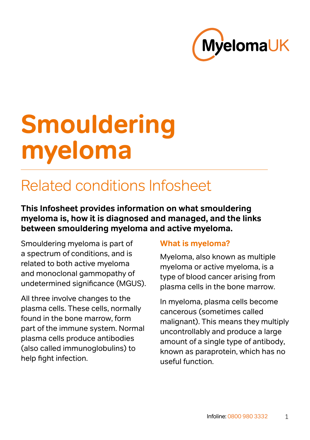

# **Smouldering myeloma**

# Related conditions Infosheet

**This Infosheet provides information on what smouldering myeloma is, how it is diagnosed and managed, and the links between smouldering myeloma and active myeloma.**

Smouldering myeloma is part of a spectrum of conditions, and is related to both active myeloma and monoclonal gammopathy of undetermined significance (MGUS).

All three involve changes to the plasma cells. These cells, normally found in the bone marrow, form part of the immune system. Normal plasma cells produce antibodies (also called immunoglobulins) to help fight infection.

#### **What is myeloma?**

Myeloma, also known as multiple myeloma or active myeloma, is a type of blood cancer arising from plasma cells in the bone marrow.

In myeloma, plasma cells become cancerous (sometimes called malignant). This means they multiply uncontrollably and produce a large amount of a single type of antibody, known as paraprotein, which has no useful function.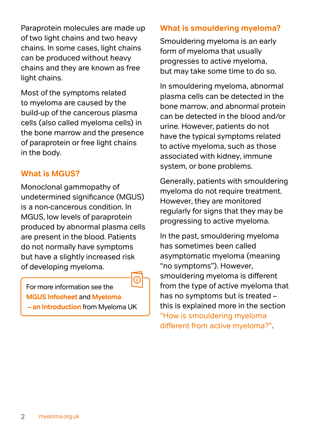Paraprotein molecules are made up of two light chains and two heavy chains. In some cases, light chains can be produced without heavy chains and they are known as free light chains.

Most of the symptoms related to myeloma are caused by the build-up of the cancerous plasma cells (also called myeloma cells) in the bone marrow and the presence of paraprotein or free light chains in the body.

#### **What is MGUS?**

Monoclonal gammopathy of undetermined significance (MGUS) is a non-cancerous condition. In MGUS, low levels of paraprotein produced by abnormal plasma cells are present in the blood. Patients do not normally have symptoms but have a slightly increased risk of developing myeloma.

For more information see the **[MGUS Infosheet](https://www.myeloma.org.uk/documents/monoclonal-gammopathy-of-undetermined-significance-mgus-infosheet/)** and **[Myeloma](https://www.myeloma.org.uk/documents/myeloma-an-introduction/)  [– an Introduction](https://www.myeloma.org.uk/documents/myeloma-an-introduction/)** from Myeloma UK

#### **What is smouldering myeloma?**

Smouldering myeloma is an early form of myeloma that usually progresses to active myeloma, but may take some time to do so.

In smouldering myeloma, abnormal plasma cells can be detected in the bone marrow, and abnormal protein can be detected in the blood and/or urine. However, patients do not have the typical symptoms related to active myeloma, such as those associated with kidney, immune system, or bone problems.

Generally, patients with smouldering myeloma do not require treatment. However, they are monitored regularly for signs that they may be progressing to active myeloma.

In the past, smouldering myeloma has sometimes been called asymptomatic myeloma (meaning "no symptoms"). However, smouldering myeloma is different from the type of active myeloma that has no symptoms but is treated – this is explained more in the section ["How is smouldering myeloma](#page-4-0)  [different from active myeloma?"](#page-4-0).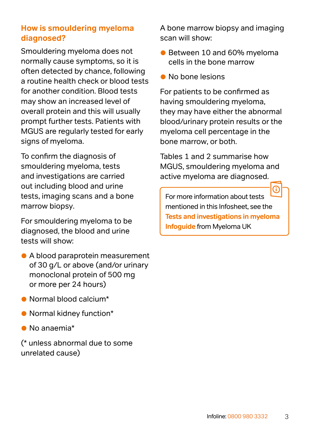#### **How is smouldering myeloma diagnosed?**

Smouldering myeloma does not normally cause symptoms, so it is often detected by chance, following a routine health check or blood tests for another condition. Blood tests may show an increased level of overall protein and this will usually prompt further tests. Patients with MGUS are regularly tested for early signs of myeloma.

To confirm the diagnosis of smouldering myeloma, tests and investigations are carried out including blood and urine tests, imaging scans and a bone marrow biopsy.

For smouldering myeloma to be diagnosed, the blood and urine tests will show:

- A blood paraprotein measurement of 30 g/L or above (and/or urinary monoclonal protein of 500 mg or more per 24 hours)
- Normal blood calcium\*
- Normal kidney function\*
- No anaemia\*

(\* unless abnormal due to some unrelated cause)

A bone marrow biopsy and imaging scan will show:

- Between 10 and 60% myeloma cells in the bone marrow
- No bone lesions

For patients to be confirmed as having smouldering myeloma, they may have either the abnormal blood/urinary protein results or the myeloma cell percentage in the bone marrow, or both.

Tables 1 and 2 summarise how MGUS, smouldering myeloma and active myeloma are diagnosed.

For more information about tests mentioned in this Infosheet, see the **[Tests and investigations in myeloma](https://www.myeloma.org.uk/documents/tests-and-investigations-in-myeloma-infoguide/)  [Infoguide](https://www.myeloma.org.uk/documents/tests-and-investigations-in-myeloma-infoguide/)** from Myeloma UK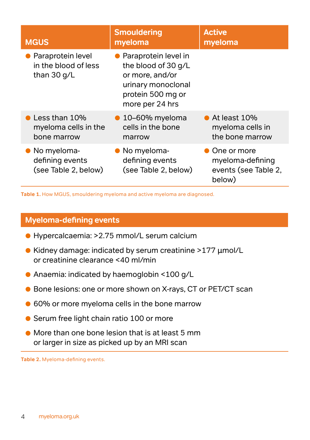| <b>MGUS</b>                                                    | <b>Smouldering</b><br>myeloma                                                                                                  | <b>Active</b><br>myeloma                                            |
|----------------------------------------------------------------|--------------------------------------------------------------------------------------------------------------------------------|---------------------------------------------------------------------|
| • Paraprotein level<br>in the blood of less<br>than 30 g/L     | • Paraprotein level in<br>the blood of 30 g/L<br>or more, and/or<br>urinary monoclonal<br>protein 500 mg or<br>more per 24 hrs |                                                                     |
| $\bullet$ Less than 10%<br>myeloma cells in the<br>bone marrow | $\bullet$ 10-60% myeloma<br>cells in the bone<br>marrow                                                                        | $\bullet$ At least 10%<br>myeloma cells in<br>the bone marrow       |
| • No myeloma-<br>defining events<br>(see Table 2, below)       | • No myeloma-<br>defining events<br>(see Table 2, below)                                                                       | • One or more<br>myeloma-defining<br>events (see Table 2,<br>below) |

**Table 1.** How MGUS, smouldering myeloma and active myeloma are diagnosed.

#### **Myeloma-defining events**

- Hypercalcaemia: >2.75 mmol/L serum calcium
- Kidney damage: indicated by serum creatinine >177 µmol/L or creatinine clearance <40 ml/min
- Anaemia: indicated by haemoglobin <100 g/L
- Bone lesions: one or more shown on X-rays, CT or PET/CT scan
- 60% or more myeloma cells in the bone marrow
- **Serum free light chain ratio 100 or more**
- More than one bone lesion that is at least 5 mm or larger in size as picked up by an MRI scan

**Table 2.** Myeloma-defining events.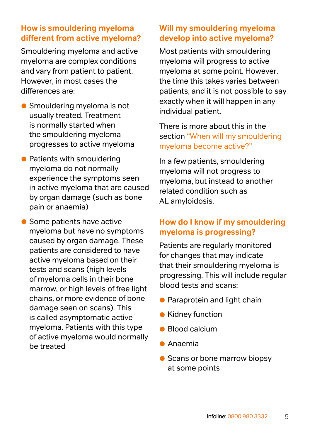#### <span id="page-4-0"></span>**How is smouldering myeloma different from active myeloma?**

Smouldering myeloma and active myeloma are complex conditions and vary from patient to patient. However, in most cases the differences are:

- Smouldering myeloma is not usually treated. Treatment is normally started when the smouldering myeloma progresses to active myeloma
- Patients with smouldering myeloma do not normally experience the symptoms seen in active myeloma that are caused by organ damage (such as bone pain or anaemia)

• Some patients have active myeloma but have no symptoms caused by organ damage. These patients are considered to have active myeloma based on their tests and scans (high levels of myeloma cells in their bone marrow, or high levels of free light chains, or more evidence of bone damage seen on scans). This is called asymptomatic active myeloma. Patients with this type of active myeloma would normally be treated

#### **Will my smouldering myeloma develop into active myeloma?**

Most patients with smouldering myeloma will progress to active myeloma at some point. However, the time this takes varies between patients, and it is not possible to say exactly when it will happen in any individual patient.

There is more about this in the section ["When will my smouldering](#page-6-0)  [myeloma become active?"](#page-6-0)

In a few patients, smouldering myeloma will not progress to myeloma, but instead to another related condition such as AL amyloidosis.

#### **How do I know if my smouldering myeloma is progressing?**

Patients are regularly monitored for changes that may indicate that their smouldering myeloma is progressing. This will include regular blood tests and scans:

- **Paraprotein and light chain**
- Kidney function
- Blood calcium
- Anaemia
- Scans or bone marrow biopsy at some points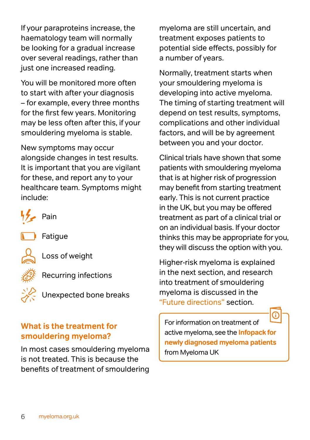If your paraproteins increase, the haematology team will normally be looking for a gradual increase over several readings, rather than just one increased reading.

You will be monitored more often to start with after your diagnosis – for example, every three months for the first few years. Monitoring may be less often after this, if your smouldering myeloma is stable.

New symptoms may occur alongside changes in test results. It is important that you are vigilant for these, and report any to your healthcare team. Symptoms might include:



**Fatique** 

Loss of weight

Recurring infections

Unexpected bone breaks

#### **What is the treatment for smouldering myeloma?**

In most cases smouldering myeloma is not treated. This is because the benefits of treatment of smouldering

myeloma are still uncertain, and treatment exposes patients to potential side effects, possibly for a number of years.

Normally, treatment starts when your smouldering myeloma is developing into active myeloma. The timing of starting treatment will depend on test results, symptoms, complications and other individual factors, and will be by agreement between you and your doctor.

Clinical trials have shown that some patients with smouldering myeloma that is at higher risk of progression may benefit from starting treatment early. This is not current practice in the UK, but you may be offered treatment as part of a clinical trial or on an individual basis. If your doctor thinks this may be appropriate for you, they will discuss the option with you.

Higher-risk myeloma is explained in the next section, and research into treatment of smouldering myeloma is discussed in the ["Future directions"](#page-8-0) section.

For information on treatment of active myeloma, see the **[Infopack for](https://www.myeloma.org.uk/documents/infopack-for-newly-diagnosed-patients/)  [newly diagnosed myeloma patients](https://www.myeloma.org.uk/documents/infopack-for-newly-diagnosed-patients/)** from Myeloma UK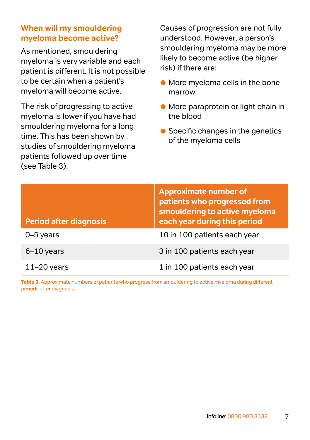#### <span id="page-6-0"></span>**When will my smouldering myeloma become active?**

As mentioned, smouldering myeloma is very variable and each patient is different. It is not possible to be certain when a patient's myeloma will become active.

The risk of progressing to active myeloma is lower if you have had smouldering myeloma for a long time. This has been shown by studies of smouldering myeloma patients followed up over time (see Table 3).

Causes of progression are not fully understood. However, a person's smouldering myeloma may be more likely to become active (be higher risk) if there are:

- More myeloma cells in the bone marrow
- More paraprotein or light chain in the blood
- Specific changes in the genetics of the myeloma cells

| <b>Period after diagnosis</b> | <b>Approximate number of</b><br>patients who progressed from<br>smouldering to active myeloma<br>each year during this period |
|-------------------------------|-------------------------------------------------------------------------------------------------------------------------------|
| 0-5 years                     | 10 in 100 patients each year                                                                                                  |
| $6-10$ years                  | 3 in 100 patients each year                                                                                                   |
| $11 - 20$ years               | 1 in 100 patients each year                                                                                                   |

**Table 3.** Approximate numbers of patients who progress from smouldering to active myeloma during different periods after diagnosis.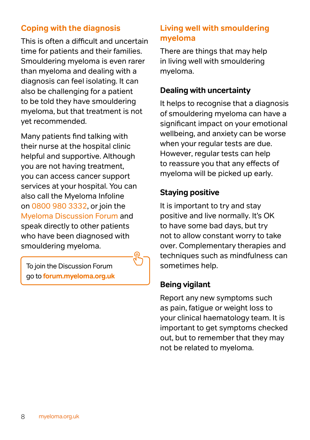#### **Coping with the diagnosis**

This is often a difficult and uncertain time for patients and their families. Smouldering myeloma is even rarer than myeloma and dealing with a diagnosis can feel isolating. It can also be challenging for a patient to be told they have smouldering myeloma, but that treatment is not yet recommended.

Many patients find talking with their nurse at the hospital clinic helpful and supportive. Although you are not having treatment, you can access cancer support services at your hospital. You can also call the Myeloma Infoline on 0800 980 3332, or join the Myeloma Discussion Forum and speak directly to other patients who have been diagnosed with smouldering myeloma.

To join the Discussion Forum go to **[forum.myeloma.org.uk](https://forum.myeloma.org.uk/)**

#### **Living well with smouldering myeloma**

There are things that may help in living well with smouldering myeloma.

#### **Dealing with uncertainty**

It helps to recognise that a diagnosis of smouldering myeloma can have a significant impact on your emotional wellbeing, and anxiety can be worse when your regular tests are due. However, regular tests can help to reassure you that any effects of myeloma will be picked up early.

#### **Staying positive**

It is important to try and stay positive and live normally. It's OK to have some bad days, but try not to allow constant worry to take over. Complementary therapies and techniques such as mindfulness can sometimes help.

#### **Being vigilant**

Report any new symptoms such as pain, fatigue or weight loss to your clinical haematology team. It is important to get symptoms checked out, but to remember that they may not be related to myeloma.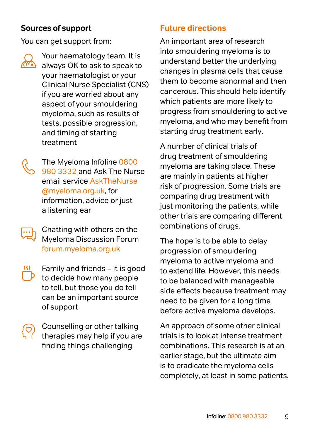#### **Sources of support**

You can get support from:

Your haematology team. It is always OK to ask to speak to your haematologist or your Clinical Nurse Specialist (CNS) if you are worried about any aspect of your smouldering myeloma, such as results of tests, possible progression, and timing of starting treatment

The Myeloma Infoline 0800 980 3332 and Ask The Nurse email service [AskTheNurse](mailto:AskTheNurse@myeloma.org.uk) [@myeloma.org.uk](mailto:AskTheNurse@myeloma.org.uk), for information, advice or just a listening ear

Chatting with others on the Myeloma Discussion Forum [forum.myeloma.org.uk](http://forum.myeloma.org.uk)

Family and friends – it is good to decide how many people to tell, but those you do tell can be an important source of support

Counselling or other talking therapies may help if you are finding things challenging

#### <span id="page-8-0"></span>**Future directions**

An important area of research into smouldering myeloma is to understand better the underlying changes in plasma cells that cause them to become abnormal and then cancerous. This should help identify which patients are more likely to progress from smouldering to active myeloma, and who may benefit from starting drug treatment early.

A number of clinical trials of drug treatment of smouldering myeloma are taking place. These are mainly in patients at higher risk of progression. Some trials are comparing drug treatment with just monitoring the patients, while other trials are comparing different combinations of drugs.

The hope is to be able to delay progression of smouldering myeloma to active myeloma and to extend life. However, this needs to be balanced with manageable side effects because treatment may need to be given for a long time before active myeloma develops.

An approach of some other clinical trials is to look at intense treatment combinations. This research is at an earlier stage, but the ultimate aim is to eradicate the myeloma cells completely, at least in some patients.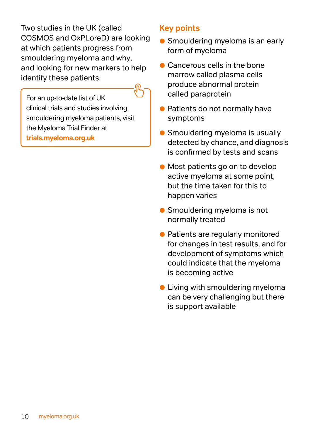Two studies in the UK (called COSMOS and OxPLoreD) are looking at which patients progress from smouldering myeloma and why, and looking for new markers to help identify these patients.

For an up-to-date list of UK clinical trials and studies involving smouldering myeloma patients, visit the Myeloma Trial Finder at **[trials.myeloma.org.uk](http://trials.myeloma.org.uk)** 

#### **Key points**

- Smouldering myeloma is an early form of myeloma
- Cancerous cells in the bone marrow called plasma cells produce abnormal protein called paraprotein
- **Patients do not normally have** symptoms
- Smouldering myeloma is usually detected by chance, and diagnosis is confirmed by tests and scans
- Most patients go on to develop active myeloma at some point, but the time taken for this to happen varies
- Smouldering myeloma is not normally treated
- Patients are regularly monitored for changes in test results, and for development of symptoms which could indicate that the myeloma is becoming active
- **Living with smouldering myeloma** can be very challenging but there is support available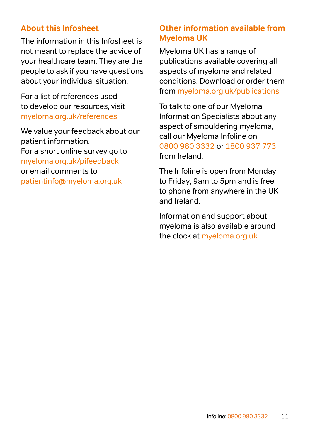#### **About this Infosheet**

The information in this Infosheet is not meant to replace the advice of your healthcare team. They are the people to ask if you have questions about your individual situation.

For a list of references used to develop our resources, visit [myeloma.org.uk/references](http://myeloma.org.uk/references) 

We value your feedback about our patient information. For a short online survey go to [myeloma.org.uk/pifeedback](http://myeloma.org.uk/pifeedback)  or email comments to [patientinfo@myeloma.org.uk](mailto:patientinfo%40myeloma.org.uk?subject=)

#### **Other information available from Myeloma UK**

Myeloma UK has a range of publications available covering all aspects of myeloma and related conditions. Download or order them from [myeloma.org.uk/publications](http://myeloma.org.uk/publications)

To talk to one of our Myeloma Information Specialists about any aspect of smouldering myeloma, call our Myeloma Infoline on [0800 980 3332](tel:08009803332) or [1800 937 773](tel:1800937773) from Ireland.

The Infoline is open from Monday to Friday, 9am to 5pm and is free to phone from anywhere in the UK and Ireland.

Information and support about myeloma is also available around the clock at [myeloma.org.uk](http://myeloma.org.uk)